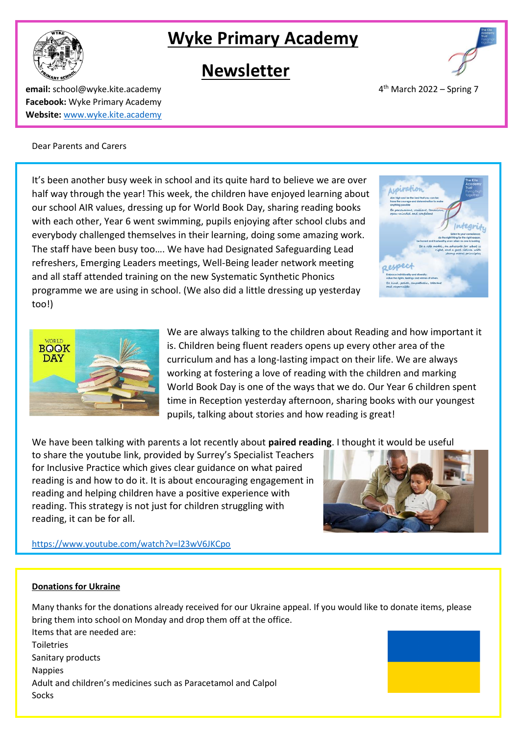# **Wyke Primary Academy**

## **Newsletter**

**email:** school@wyke.kite.academy 4 **Facebook:** Wyke Primary Academy **Website:** [www.wyke.kite.academy](http://www.wyke.kite.academy/)

Dear Parents and Carers

It's been another busy week in school and its quite hard to believe we are over half way through the year! This week, the children have enjoyed learning about our school AIR values, dressing up for World Book Day, sharing reading books with each other, Year 6 went swimming, pupils enjoying after school clubs and everybody challenged themselves in their learning, doing some amazing work. The staff have been busy too…. We have had Designated Safeguarding Lead refreshers, Emerging Leaders meetings, Well-Being leader network meeting and all staff attended training on the new Systematic Synthetic Phonics programme we are using in school. (We also did a little dressing up yesterday too!)

> We are always talking to the children about Reading and how important it is. Children being fluent readers opens up every other area of the curriculum and has a long-lasting impact on their life. We are always working at fostering a love of reading with the children and marking World Book Day is one of the ways that we do. Our Year 6 children spent time in Reception yesterday afternoon, sharing books with our youngest pupils, talking about stories and how reading is great!

We have been talking with parents a lot recently about **paired reading**. I thought it would be useful

to share the youtube link, provided by Surrey's Specialist Teachers for Inclusive Practice which gives clear guidance on what paired reading is and how to do it. It is about encouraging engagement in reading and helping children have a positive experience with reading. This strategy is not just for children struggling with reading, it can be for all.

<https://www.youtube.com/watch?v=l23wV6JKCpo>

## **Donations for Ukraine**

Many thanks for the donations already received for our Ukraine appeal. If you would like to donate items, please bring them into school on Monday and drop them off at the office. Items that are needed are: Toiletries Sanitary products Nappies Adult and children's medicines such as Paracetamol and Calpol Socks









 $4<sup>th</sup>$  March 2022 – Spring 7



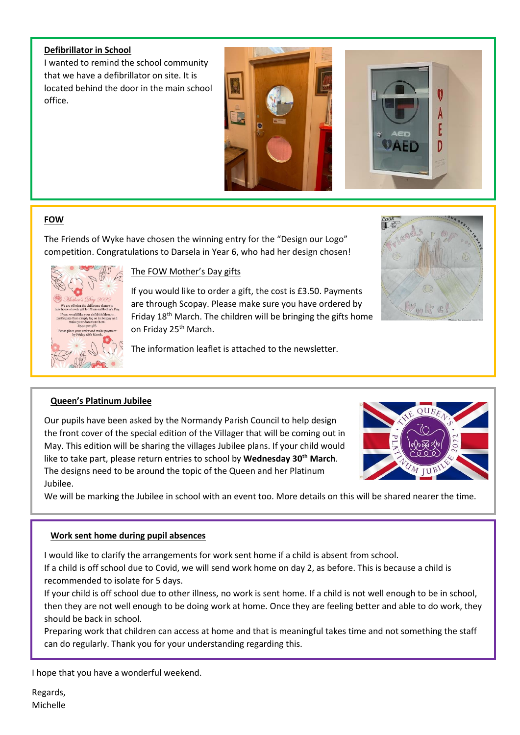#### **Defibrillator in School**

I wanted to remind the school community that we have a defibrillator on site. It is located behind the door in the main school office.





## **FOW**

The Friends of Wyke have chosen the winning entry for the "Design our Logo" competition. Congratulations to Darsela in Year 6, who had her design chosen!



## The FOW Mother's Day gifts

If you would like to order a gift, the cost is £3.50. Payments are through Scopay. Please make sure you have ordered by Friday 18<sup>th</sup> March. The children will be bringing the gifts home on Friday 25<sup>th</sup> March.

The information leaflet is attached to the newsletter.



## **Queen's Platinum Jubilee**

Our pupils have been asked by the Normandy Parish Council to help design the front cover of the special edition of the Villager that will be coming out in May. This edition will be sharing the villages Jubilee plans. If your child would like to take part, please return entries to school by **Wednesday 30th March**. The designs need to be around the topic of the Queen and her Platinum Jubilee.



We will be marking the Jubilee in school with an event too. More details on this will be shared nearer the time.

#### **Work sent home during pupil absences**

I would like to clarify the arrangements for work sent home if a child is absent from school.

If a child is off school due to Covid, we will send work home on day 2, as before. This is because a child is recommended to isolate for 5 days.

If your child is off school due to other illness, no work is sent home. If a child is not well enough to be in school, then they are not well enough to be doing work at home. Once they are feeling better and able to do work, they should be back in school.

Preparing work that children can access at home and that is meaningful takes time and not something the staff can do regularly. Thank you for your understanding regarding this.

I hope that you have a wonderful weekend.

Regards, Michelle

 $\overline{a}$